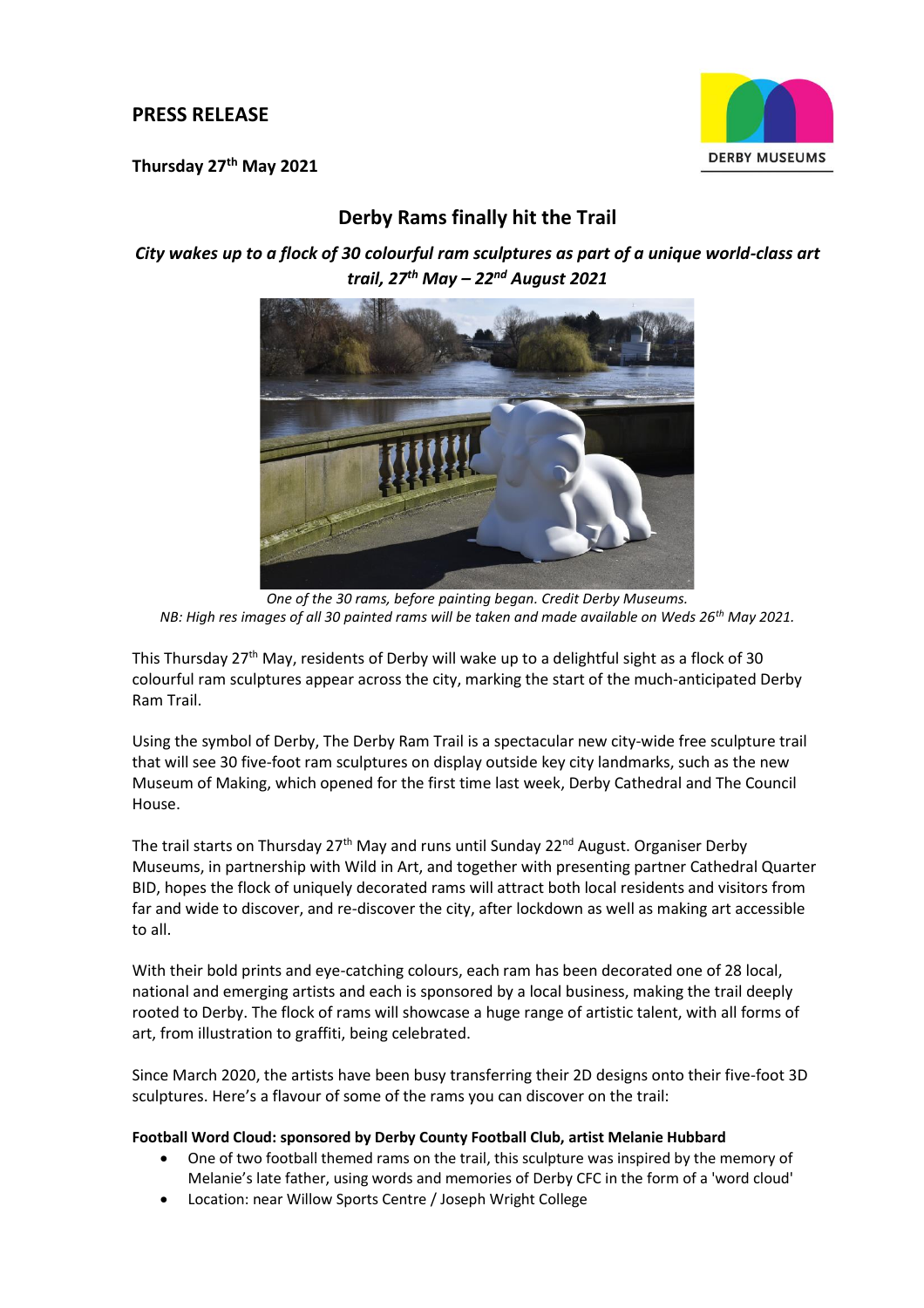## **PRESS RELEASE**

**Thursday 27th May 2021**



# **Derby Rams finally hit the Trail**

*City wakes up to a flock of 30 colourful ram sculptures as part of a unique world-class art trail, 27th May – 22nd August 2021*



*One of the 30 rams, before painting began. Credit Derby Museums. NB: High res images of all 30 painted rams will be taken and made available on Weds 26th May 2021.*

This Thursday 27<sup>th</sup> May, residents of Derby will wake up to a delightful sight as a flock of 30 colourful ram sculptures appear across the city, marking the start of the much-anticipated Derby Ram Trail.

Using the symbol of Derby, The Derby Ram Trail is a spectacular new city-wide free sculpture trail that will see 30 five-foot ram sculptures on display outside key city landmarks, such as the new Museum of Making, which opened for the first time last week, Derby Cathedral and The Council House.

The trail starts on Thursday 27<sup>th</sup> May and runs until Sunday 22<sup>nd</sup> August. Organiser Derby Museums, in partnership with Wild in Art, and together with presenting partner Cathedral Quarter BID, hopes the flock of uniquely decorated rams will attract both local residents and visitors from far and wide to discover, and re-discover the city, after lockdown as well as making art accessible to all.

With their bold prints and eye-catching colours, each ram has been decorated one of 28 local, national and emerging artists and each is sponsored by a local business, making the trail deeply rooted to Derby. The flock of rams will showcase a huge range of artistic talent, with all forms of art, from illustration to graffiti, being celebrated.

Since March 2020, the artists have been busy transferring their 2D designs onto their five-foot 3D sculptures. Here's a flavour of some of the rams you can discover on the trail:

## **Football Word Cloud: sponsored by Derby County Football Club, artist Melanie Hubbard**

- One of two football themed rams on the trail, this sculpture was inspired by the memory of Melanie's late father, using words and memories of Derby CFC in the form of a 'word cloud'
- Location: near Willow Sports Centre / Joseph Wright College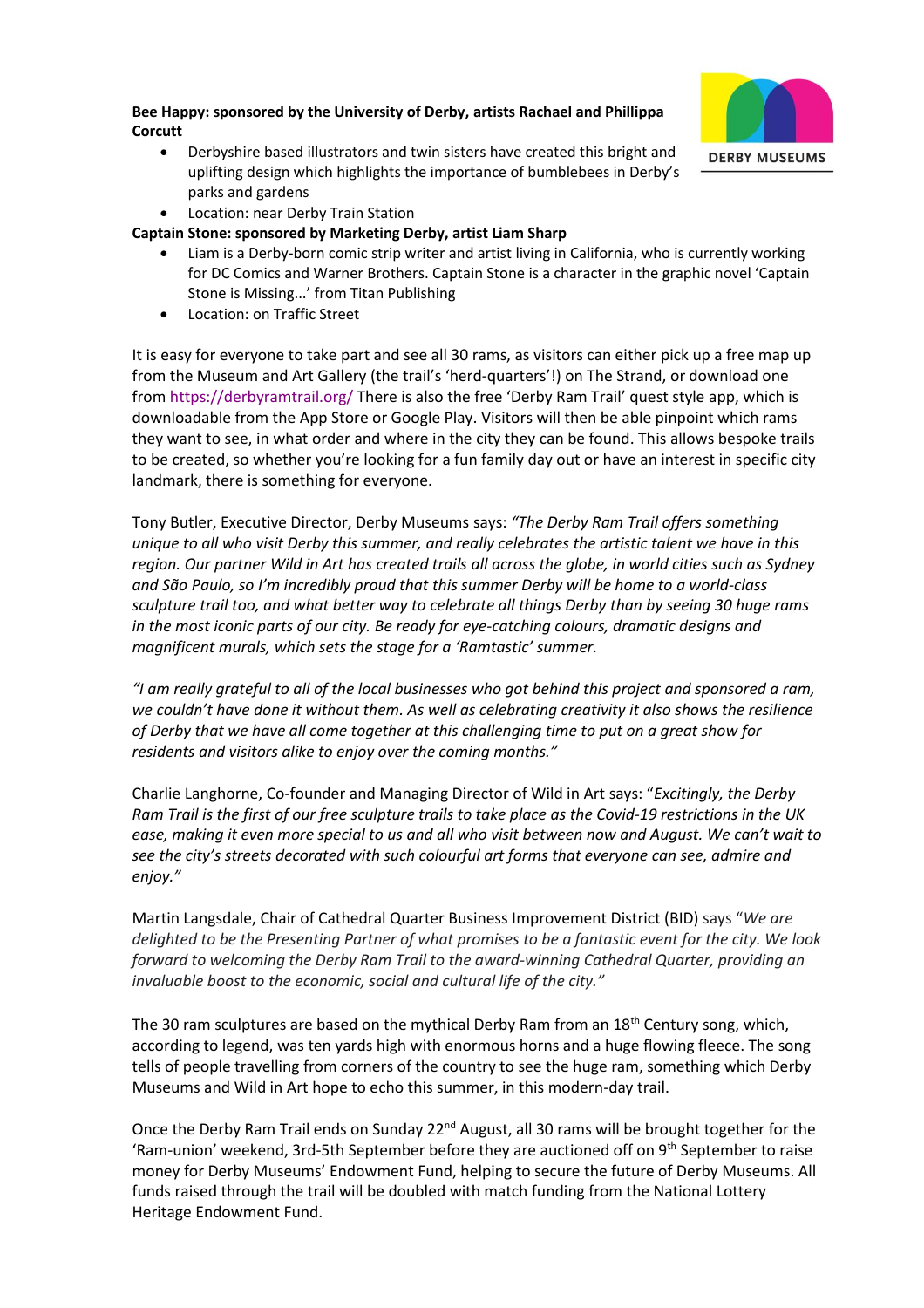## **Bee Happy: sponsored by the University of Derby, artists Rachael and Phillippa Corcutt**



• Derbyshire based illustrators and twin sisters have created this bright and uplifting design which highlights the importance of bumblebees in Derby's parks and gardens

• Location: near Derby Train Station

## **Captain Stone: sponsored by Marketing Derby, artist Liam Sharp**

- Liam is a Derby-born comic strip writer and artist living in California, who is currently working for DC Comics and Warner Brothers. Captain Stone is a character in the graphic novel 'Captain Stone is Missing...' from Titan Publishing
- Location: on Traffic Street

It is easy for everyone to take part and see all 30 rams, as visitors can either pick up a free map up from the Museum and Art Gallery (the trail's 'herd-quarters'!) on The Strand, or download one from<https://derbyramtrail.org/> There is also the free 'Derby Ram Trail' quest style app, which is downloadable from the App Store or Google Play. Visitors will then be able pinpoint which rams they want to see, in what order and where in the city they can be found. This allows bespoke trails to be created, so whether you're looking for a fun family day out or have an interest in specific city landmark, there is something for everyone.

Tony Butler, Executive Director, Derby Museums says: *"The Derby Ram Trail offers something unique to all who visit Derby this summer, and really celebrates the artistic talent we have in this region. Our partner Wild in Art has created trails all across the globe, in world cities such as Sydney and São Paulo, so I'm incredibly proud that this summer Derby will be home to a world-class sculpture trail too, and what better way to celebrate all things Derby than by seeing 30 huge rams in the most iconic parts of our city. Be ready for eye-catching colours, dramatic designs and magnificent murals, which sets the stage for a 'Ramtastic' summer.*

*"I am really grateful to all of the local businesses who got behind this project and sponsored a ram, we couldn't have done it without them. As well as celebrating creativity it also shows the resilience of Derby that we have all come together at this challenging time to put on a great show for residents and visitors alike to enjoy over the coming months."*

Charlie Langhorne, Co-founder and Managing Director of Wild in Art says: "*Excitingly, the Derby Ram Trail is the first of our free sculpture trails to take place as the Covid-19 restrictions in the UK ease, making it even more special to us and all who visit between now and August. We can't wait to see the city's streets decorated with such colourful art forms that everyone can see, admire and enjoy."*

Martin Langsdale, Chair of Cathedral Quarter Business Improvement District (BID) says "*We are delighted to be the Presenting Partner of what promises to be a fantastic event for the city. We look forward to welcoming the Derby Ram Trail to the award-winning Cathedral Quarter, providing an invaluable boost to the economic, social and cultural life of the city."*

The 30 ram sculptures are based on the mythical Derby Ram from an 18<sup>th</sup> Century song, which, according to legend, was ten yards high with enormous horns and a huge flowing fleece. The song tells of people travelling from corners of the country to see the huge ram, something which Derby Museums and Wild in Art hope to echo this summer, in this modern-day trail.

Once the Derby Ram Trail ends on Sunday 22<sup>nd</sup> August, all 30 rams will be brought together for the 'Ram-union' weekend, 3rd-5th September before they are auctioned off on  $9<sup>th</sup>$  September to raise money for Derby Museums' Endowment Fund, helping to secure the future of Derby Museums. All funds raised through the trail will be doubled with match funding from the National Lottery Heritage Endowment Fund.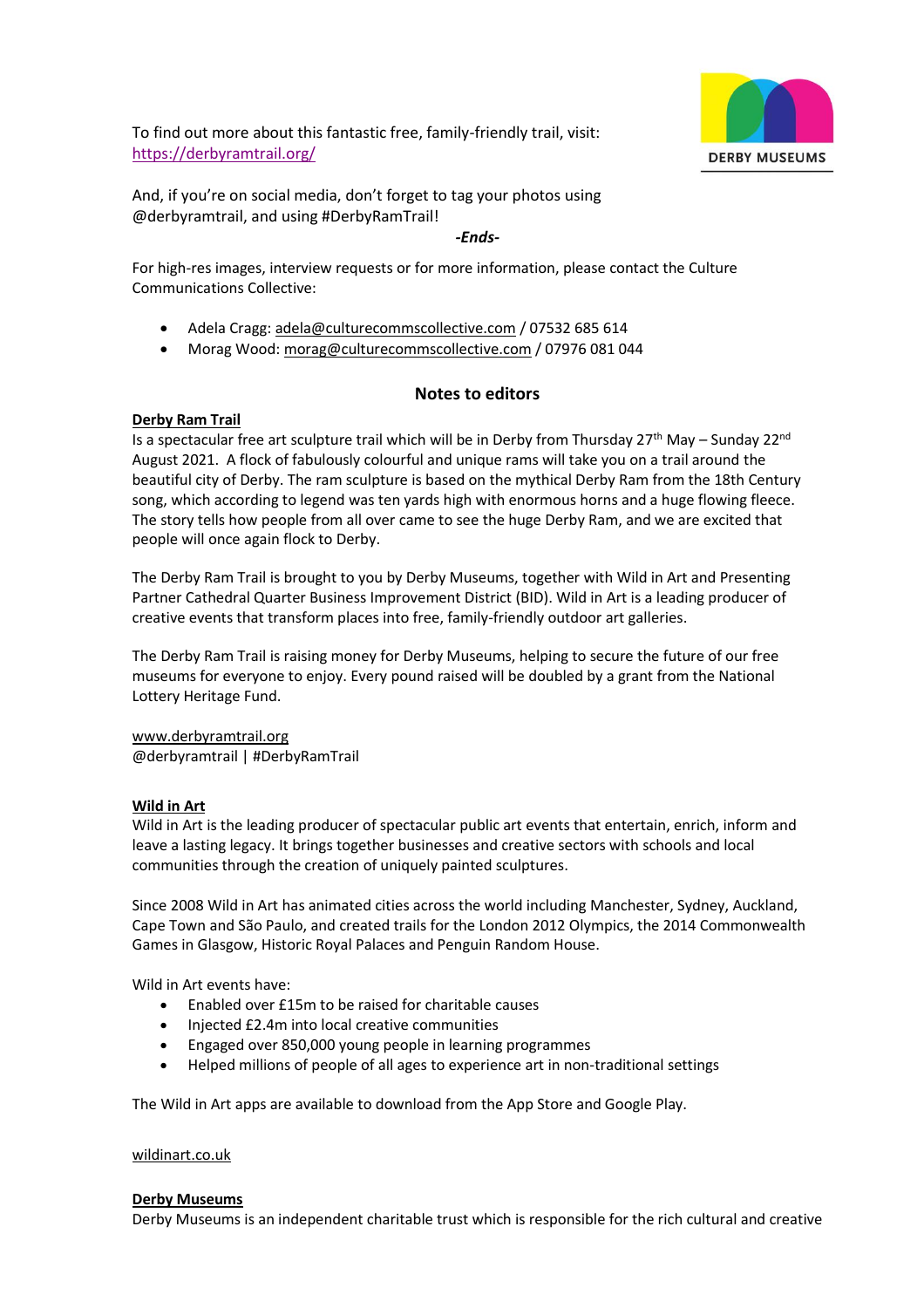

To find out more about this fantastic free, family-friendly trail, visit: <https://derbyramtrail.org/>

And, if you're on social media, don't forget to tag your photos using @derbyramtrail, and using #DerbyRamTrail!

#### *-Ends-*

For high-res images, interview requests or for more information, please contact the Culture Communications Collective:

- Adela Cragg: [adela@culturecommscollective.com](mailto:adela@culturecommscollective.com) / 07532 685 614
- Morag Wood[: morag@culturecommscollective.com](mailto:morag@culturecommscollective.com) / 07976 081 044

## **Notes to editors**

## **[Derby Ram Trail](https://www.derbyramtrail.org/)**

Is a spectacular free art sculpture trail which will be in Derby from Thursday 27<sup>th</sup> May – Sunday 22<sup>nd</sup> August 2021. A flock of fabulously colourful and unique rams will take you on a trail around the beautiful city of Derby. The ram sculpture is based on the mythical Derby Ram from the 18th Century song, which according to legend was ten yards high with enormous horns and a huge flowing fleece. The story tells how people from all over came to see the huge Derby Ram, and we are excited that people will once again flock to Derby.

The Derby Ram Trail is brought to you by Derby Museums, together with Wild in Art and Presenting Partner Cathedral Quarter Business Improvement District (BID). Wild in Art is a leading producer of creative events that transform places into free, family-friendly outdoor art galleries.

The Derby Ram Trail is raising money for Derby Museums, helping to secure the future of our free museums for everyone to enjoy. Every pound raised will be doubled by a grant from the National Lottery Heritage Fund.

[www.derbyramtrail.org](http://www.derbyramtrail.org/) @derbyramtrail | #DerbyRamTrail

## **Wild in Art**

Wild in Art is the leading producer of spectacular public art events that entertain, enrich, inform and leave a lasting legacy. It brings together businesses and creative sectors with schools and local communities through the creation of uniquely painted sculptures.

Since 2008 Wild in Art has animated cities across the world including Manchester, Sydney, Auckland, Cape Town and São Paulo, and created trails for the London 2012 Olympics, the 2014 Commonwealth Games in Glasgow, Historic Royal Palaces and Penguin Random House.

Wild in Art events have:

- Enabled over £15m to be raised for charitable causes
- Injected £2.4m into local creative communities
- Engaged over 850,000 young people in learning programmes
- Helped millions of people of all ages to experience art in non-traditional settings

The Wild in Art apps are available to download from the App Store and Google Play.

## [wildinart.co.uk](https://www.wildinart.co.uk/)

## **[Derby Museums](https://www.derbymuseums.org/)**

Derby Museums is an independent charitable trust which is responsible for the rich cultural and creative